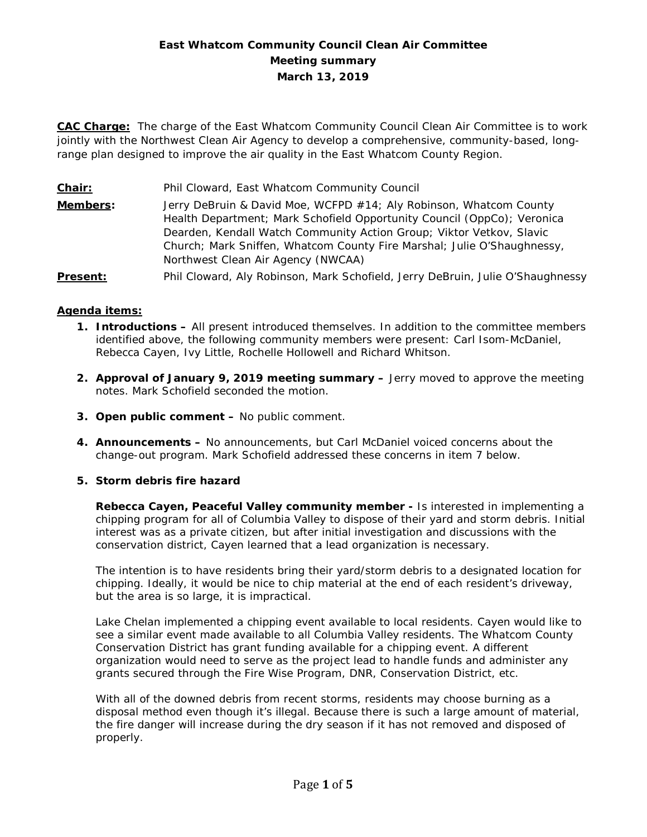# **East Whatcom Community Council Clean Air Committee Meeting summary March 13, 2019**

**CAC Charge:** The charge of the East Whatcom Community Council Clean Air Committee is to work jointly with the Northwest Clean Air Agency to develop a comprehensive, community-based, longrange plan designed to improve the air quality in the East Whatcom County Region.

**Chair:** Phil Cloward, East Whatcom Community Council **Members:** Jerry DeBruin & David Moe, WCFPD #14; Aly Robinson, Whatcom County Health Department; Mark Schofield Opportunity Council (OppCo); Veronica Dearden, Kendall Watch Community Action Group; Viktor Vetkov, Slavic Church; Mark Sniffen, Whatcom County Fire Marshal; Julie O'Shaughnessy, Northwest Clean Air Agency (NWCAA) **Present:** Phil Cloward, Aly Robinson, Mark Schofield, Jerry DeBruin, Julie O'Shaughnessy

## **Agenda items:**

- **1. Introductions –** All present introduced themselves. In addition to the committee members identified above, the following community members were present: Carl Isom-McDaniel, Rebecca Cayen, Ivy Little, Rochelle Hollowell and Richard Whitson.
- **2. Approval of January 9, 2019 meeting summary –** Jerry moved to approve the meeting notes. Mark Schofield seconded the motion.
- **3. Open public comment –** No public comment.
- **4. Announcements –** No announcements, but Carl McDaniel voiced concerns about the change-out program. Mark Schofield addressed these concerns in item 7 below.

## **5. Storm debris fire hazard**

**Rebecca Cayen, Peaceful Valley community member -** Is interested in implementing a chipping program for all of Columbia Valley to dispose of their yard and storm debris. Initial interest was as a private citizen, but after initial investigation and discussions with the conservation district, Cayen learned that a lead organization is necessary.

The intention is to have residents bring their yard/storm debris to a designated location for chipping. Ideally, it would be nice to chip material at the end of each resident's driveway, but the area is so large, it is impractical.

Lake Chelan implemented a chipping event available to local residents. Cayen would like to see a similar event made available to all Columbia Valley residents. The Whatcom County Conservation District has grant funding available for a chipping event. A different organization would need to serve as the project lead to handle funds and administer any grants secured through the Fire Wise Program, DNR, Conservation District, etc.

With all of the downed debris from recent storms, residents may choose burning as a disposal method even though it's illegal. Because there is such a large amount of material, the fire danger will increase during the dry season if it has not removed and disposed of properly.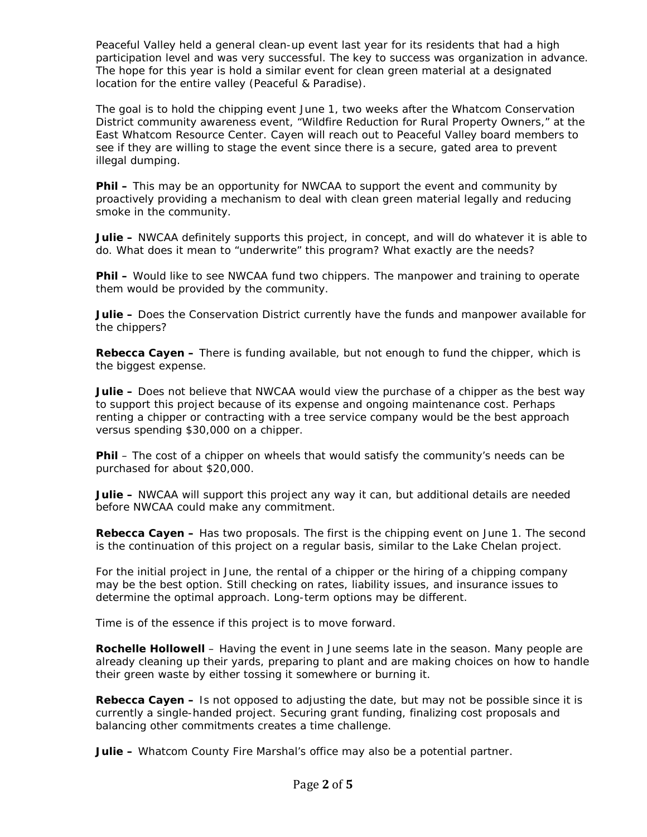Peaceful Valley held a general clean-up event last year for its residents that had a high participation level and was very successful. The key to success was organization in advance. The hope for this year is hold a similar event for clean green material at a designated location for the entire valley (Peaceful & Paradise).

The goal is to hold the chipping event June 1, two weeks after the Whatcom Conservation District community awareness event, "Wildfire Reduction for Rural Property Owners," at the East Whatcom Resource Center. Cayen will reach out to Peaceful Valley board members to see if they are willing to stage the event since there is a secure, gated area to prevent illegal dumping.

**Phil –** This may be an opportunity for NWCAA to support the event and community by proactively providing a mechanism to deal with clean green material legally and reducing smoke in the community.

**Julie –** NWCAA definitely supports this project, in concept, and will do whatever it is able to do. What does it mean to "underwrite" this program? What exactly are the needs?

**Phil –** Would like to see NWCAA fund two chippers. The manpower and training to operate them would be provided by the community.

**Julie –** Does the Conservation District currently have the funds and manpower available for the chippers?

**Rebecca Cayen –** There is funding available, but not enough to fund the chipper, which is the biggest expense.

**Julie –** Does not believe that NWCAA would view the purchase of a chipper as the best way to support this project because of its expense and ongoing maintenance cost. Perhaps renting a chipper or contracting with a tree service company would be the best approach versus spending \$30,000 on a chipper.

**Phil** – The cost of a chipper on wheels that would satisfy the community's needs can be purchased for about \$20,000.

**Julie –** NWCAA will support this project any way it can, but additional details are needed before NWCAA could make any commitment.

**Rebecca Cayen –** Has two proposals. The first is the chipping event on June 1. The second is the continuation of this project on a regular basis, similar to the Lake Chelan project.

For the initial project in June, the rental of a chipper or the hiring of a chipping company may be the best option. Still checking on rates, liability issues, and insurance issues to determine the optimal approach. Long-term options may be different.

Time is of the essence if this project is to move forward.

**Rochelle Hollowell** – Having the event in June seems late in the season. Many people are already cleaning up their yards, preparing to plant and are making choices on how to handle their green waste by either tossing it somewhere or burning it.

**Rebecca Cayen –** Is not opposed to adjusting the date, but may not be possible since it is currently a single-handed project. Securing grant funding, finalizing cost proposals and balancing other commitments creates a time challenge.

**Julie –** Whatcom County Fire Marshal's office may also be a potential partner.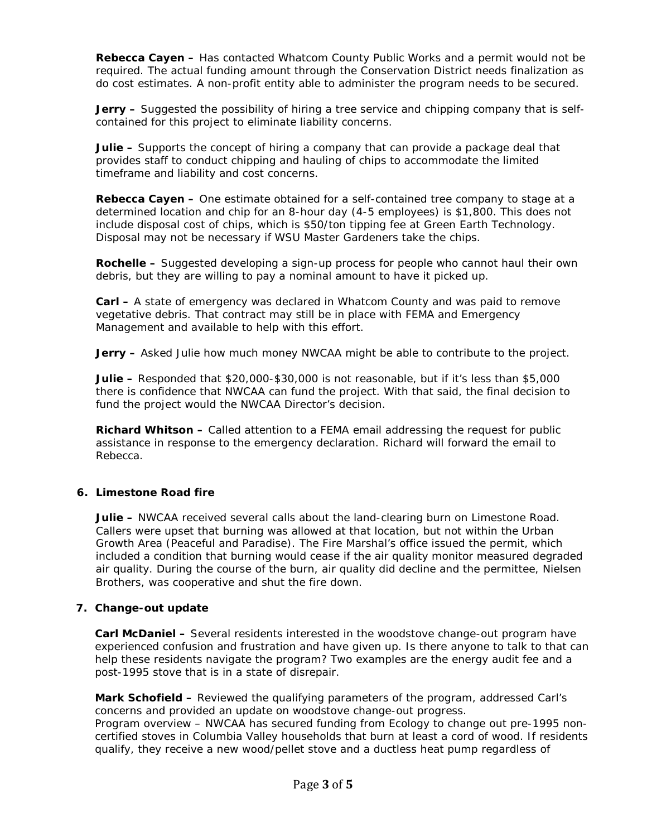**Rebecca Cayen –** Has contacted Whatcom County Public Works and a permit would not be required. The actual funding amount through the Conservation District needs finalization as do cost estimates. A non-profit entity able to administer the program needs to be secured.

**Jerry –** Suggested the possibility of hiring a tree service and chipping company that is selfcontained for this project to eliminate liability concerns.

**Julie –** Supports the concept of hiring a company that can provide a package deal that provides staff to conduct chipping and hauling of chips to accommodate the limited timeframe and liability and cost concerns.

**Rebecca Cayen –** One estimate obtained for a self-contained tree company to stage at a determined location and chip for an 8-hour day (4-5 employees) is \$1,800. This does not include disposal cost of chips, which is \$50/ton tipping fee at Green Earth Technology. Disposal may not be necessary if WSU Master Gardeners take the chips.

**Rochelle –** Suggested developing a sign-up process for people who cannot haul their own debris, but they are willing to pay a nominal amount to have it picked up.

**Carl –** A state of emergency was declared in Whatcom County and was paid to remove vegetative debris. That contract may still be in place with FEMA and Emergency Management and available to help with this effort.

**Jerry –** Asked Julie how much money NWCAA might be able to contribute to the project.

**Julie –** Responded that \$20,000-\$30,000 is not reasonable, but if it's less than \$5,000 there is confidence that NWCAA can fund the project. With that said, the final decision to fund the project would the NWCAA Director's decision.

**Richard Whitson –** Called attention to a FEMA email addressing the request for public assistance in response to the emergency declaration. Richard will forward the email to Rebecca.

## **6. Limestone Road fire**

**Julie –** NWCAA received several calls about the land-clearing burn on Limestone Road. Callers were upset that burning was allowed at that location, but not within the Urban Growth Area (Peaceful and Paradise). The Fire Marshal's office issued the permit, which included a condition that burning would cease if the air quality monitor measured degraded air quality. During the course of the burn, air quality did decline and the permittee, Nielsen Brothers, was cooperative and shut the fire down.

#### **7. Change-out update**

**Carl McDaniel –** Several residents interested in the woodstove change-out program have experienced confusion and frustration and have given up. Is there anyone to talk to that can help these residents navigate the program? Two examples are the energy audit fee and a post-1995 stove that is in a state of disrepair.

**Mark Schofield –** Reviewed the qualifying parameters of the program, addressed Carl's concerns and provided an update on woodstove change-out progress. Program overview – NWCAA has secured funding from Ecology to change out pre-1995 noncertified stoves in Columbia Valley households that burn at least a cord of wood. If residents qualify, they receive a new wood/pellet stove and a ductless heat pump regardless of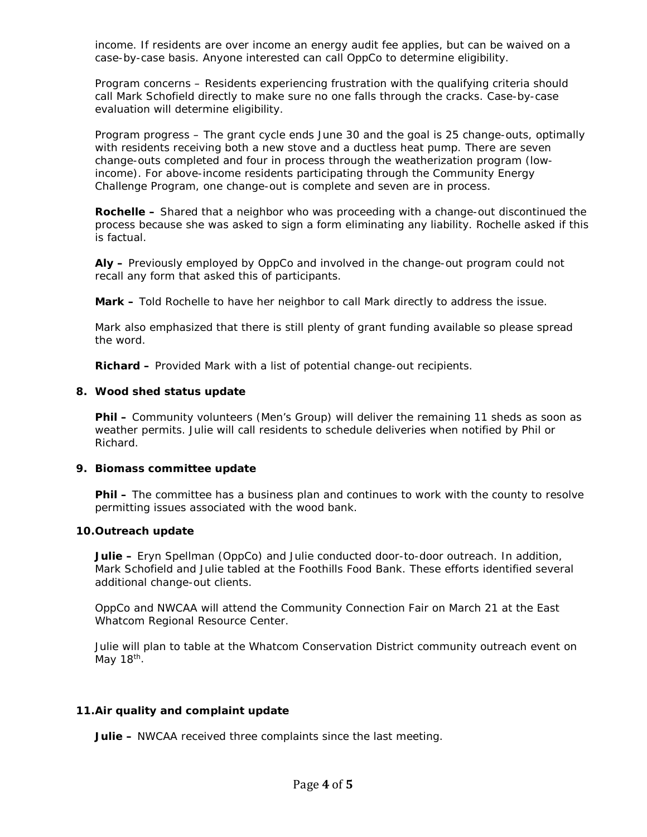income. If residents are over income an energy audit fee applies, but can be waived on a case-by-case basis. Anyone interested can call OppCo to determine eligibility.

Program concerns – Residents experiencing frustration with the qualifying criteria should call Mark Schofield directly to make sure no one falls through the cracks. Case-by-case evaluation will determine eligibility.

Program progress – The grant cycle ends June 30 and the goal is 25 change-outs, optimally with residents receiving both a new stove and a ductless heat pump. There are seven change-outs completed and four in process through the weatherization program (lowincome). For above-income residents participating through the Community Energy Challenge Program, one change-out is complete and seven are in process.

**Rochelle –** Shared that a neighbor who was proceeding with a change-out discontinued the process because she was asked to sign a form eliminating any liability. Rochelle asked if this is factual.

**Aly –** Previously employed by OppCo and involved in the change-out program could not recall any form that asked this of participants.

**Mark –** Told Rochelle to have her neighbor to call Mark directly to address the issue.

Mark also emphasized that there is still plenty of grant funding available so please spread the word.

**Richard –** Provided Mark with a list of potential change-out recipients.

### **8. Wood shed status update**

**Phil –** Community volunteers (Men's Group) will deliver the remaining 11 sheds as soon as weather permits. Julie will call residents to schedule deliveries when notified by Phil or Richard.

#### **9. Biomass committee update**

**Phil –** The committee has a business plan and continues to work with the county to resolve permitting issues associated with the wood bank.

#### **10.Outreach update**

**Julie –** Eryn Spellman (OppCo) and Julie conducted door-to-door outreach. In addition, Mark Schofield and Julie tabled at the Foothills Food Bank. These efforts identified several additional change-out clients.

OppCo and NWCAA will attend the Community Connection Fair on March 21 at the East Whatcom Regional Resource Center.

Julie will plan to table at the Whatcom Conservation District community outreach event on May  $18<sup>th</sup>$ .

## **11.Air quality and complaint update**

**Julie –** NWCAA received three complaints since the last meeting.